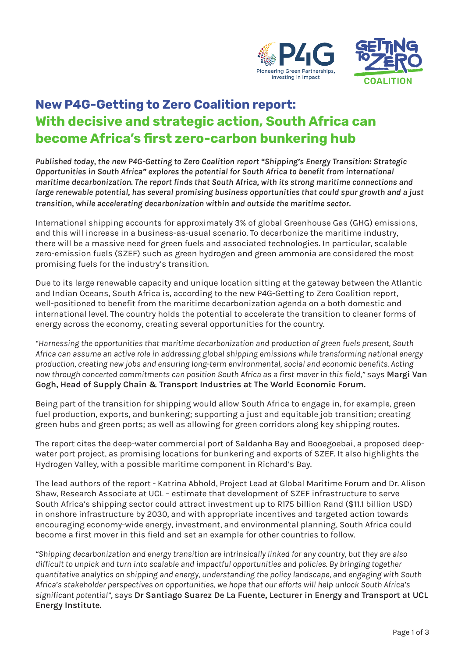



# **New P4G-Getting to Zero Coalition report: With decisive and strategic action, South Africa can become Africa's first zero-carbon bunkering hub**

*Published today, the new P4G-Getting to Zero Coalition report "Shipping's Energy Transition: Strategic Opportunities in South Africa" explores the potential for South Africa to benefit from international maritime decarbonization. The report finds that South Africa, with its strong maritime connections and large renewable potential, has several promising business opportunities that could spur growth and a just transition, while accelerating decarbonization within and outside the maritime sector.* 

International shipping accounts for approximately 3% of global Greenhouse Gas (GHG) emissions, and this will increase in a business-as-usual scenario. To decarbonize the maritime industry, there will be a massive need for green fuels and associated technologies. In particular, scalable zero-emission fuels (SZEF) such as green hydrogen and green ammonia are considered the most promising fuels for the industry's transition.

Due to its large renewable capacity and unique location sitting at the gateway between the Atlantic and Indian Oceans, South Africa is, according to the new P4G-Getting to Zero Coalition report, well-positioned to benefit from the maritime decarbonization agenda on a both domestic and international level. The country holds the potential to accelerate the transition to cleaner forms of energy across the economy, creating several opportunities for the country.

*"Harnessing the opportunities that maritime decarbonization and production of green fuels present, South Africa can assume an active role in addressing global shipping emissions while transforming national energy production, creating new jobs and ensuring long-term environmental, social and economic benefits. Acting now through concerted commitments can position South Africa as a first mover in this field,"* says **Margi Van Gogh, Head of Supply Chain & Transport Industries at The World Economic Forum.** 

Being part of the transition for shipping would allow South Africa to engage in, for example, green fuel production, exports, and bunkering; supporting a just and equitable job transition; creating green hubs and green ports; as well as allowing for green corridors along key shipping routes.

The report cites the deep-water commercial port of Saldanha Bay and Booegoebai, a proposed deepwater port project, as promising locations for bunkering and exports of SZEF. It also highlights the Hydrogen Valley, with a possible maritime component in Richard's Bay.

The lead authors of the report - Katrina Abhold, Project Lead at Global Maritime Forum and Dr. Alison Shaw, Research Associate at UCL – estimate that development of SZEF infrastructure to serve South Africa's shipping sector could attract investment up to R175 billion Rand (\$11.1 billion USD) in onshore infrastructure by 2030, and with appropriate incentives and targeted action towards encouraging economy-wide energy, investment, and environmental planning, South Africa could become a first mover in this field and set an example for other countries to follow.

*"Shipping decarbonization and energy transition are intrinsically linked for any country, but they are also difficult to unpick and turn into scalable and impactful opportunities and policies. By bringing together quantitative analytics on shipping and energy, understanding the policy landscape, and engaging with South Africa's stakeholder perspectives on opportunities, we hope that our efforts will help unlock South Africa's significant potential",* says **Dr Santiago Suarez De La Fuente, Lecturer in Energy and Transport at UCL Energy Institute.**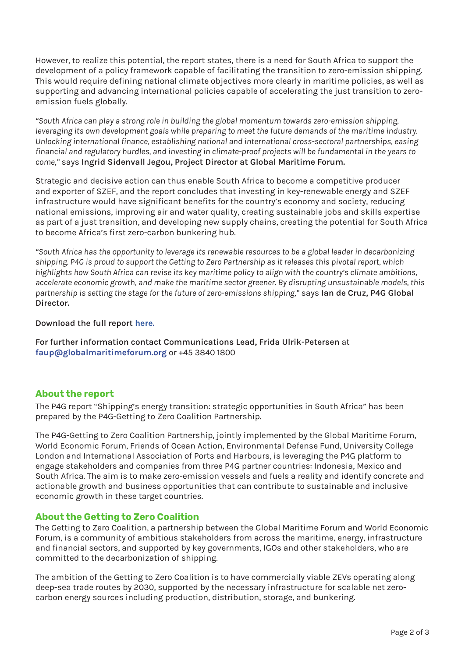However, to realize this potential, the report states, there is a need for South Africa to support the development of a policy framework capable of facilitating the transition to zero-emission shipping. This would require defining national climate objectives more clearly in maritime policies, as well as supporting and advancing international policies capable of accelerating the just transition to zeroemission fuels globally.

*"South Africa can play a strong role in building the global momentum towards zero-emission shipping, leveraging its own development goals while preparing to meet the future demands of the maritime industry. Unlocking international finance, establishing national and international cross-sectoral partnerships, easing financial and regulatory hurdles, and investing in climate-proof projects will be fundamental in the years to come,"* says **Ingrid Sidenvall Jegou, Project Director at Global Maritime Forum.** 

Strategic and decisive action can thus enable South Africa to become a competitive producer and exporter of SZEF, and the report concludes that investing in key-renewable energy and SZEF infrastructure would have significant benefits for the country's economy and society, reducing national emissions, improving air and water quality, creating sustainable jobs and skills expertise as part of a just transition, and developing new supply chains, creating the potential for South Africa to become Africa's first zero-carbon bunkering hub.

*"South Africa has the opportunity to leverage its renewable resources to be a global leader in decarbonizing shipping. P4G is proud to support the Getting to Zero Partnership as it releases this pivotal report, which highlights how South Africa can revise its key maritime policy to align with the country's climate ambitions, accelerate economic growth, and make the maritime sector greener. By disrupting unsustainable models, this partnership is setting the stage for the future of zero-emissions shipping,"* says **Ian de Cruz, P4G Global Director.** 

# **Download the full report [here](https://bit.ly/3zaRruq).**

**For further information contact Communications Lead, Frida Ulrik-Petersen** at **[faup@globalmaritimeforum.org](mailto:faup%40globalmaritimeforum.org%20?subject=)** or +45 3840 1800

# **About the report**

The P4G report "Shipping's energy transition: strategic opportunities in South Africa" has been prepared by the P4G-Getting to Zero Coalition Partnership.

The P4G-Getting to Zero Coalition Partnership, jointly implemented by the Global Maritime Forum, World Economic Forum, Friends of Ocean Action, Environmental Defense Fund, University College London and International Association of Ports and Harbours, is leveraging the P4G platform to engage stakeholders and companies from three P4G partner countries: Indonesia, Mexico and South Africa. The aim is to make zero-emission vessels and fuels a reality and identify concrete and actionable growth and business opportunities that can contribute to sustainable and inclusive economic growth in these target countries.

# **About the Getting to Zero Coalition**

The Getting to Zero Coalition, a partnership between the Global Maritime Forum and World Economic Forum, is a community of ambitious stakeholders from across the maritime, energy, infrastructure and financial sectors, and supported by key governments, IGOs and other stakeholders, who are committed to the decarbonization of shipping.

The ambition of the Getting to Zero Coalition is to have commercially viable ZEVs operating along deep-sea trade routes by 2030, supported by the necessary infrastructure for scalable net zerocarbon energy sources including production, distribution, storage, and bunkering.